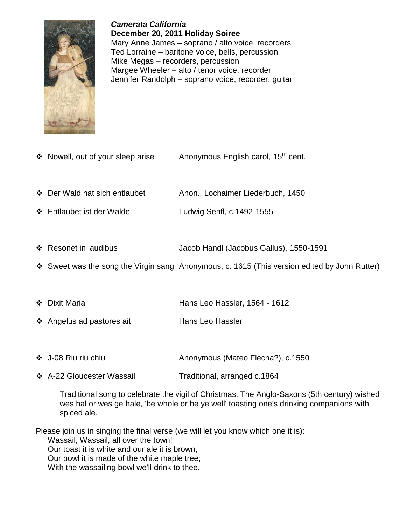

*Camerata California* **December 20, 2011 Holiday Soiree** Mary Anne James – soprano / alto voice, recorders Ted Lorraine – baritone voice, bells, percussion Mike Megas – recorders, percussion Margee Wheeler – alto / tenor voice, recorder Jennifer Randolph – soprano voice, recorder, guitar

- ❖ Nowell, out of your sleep arise Anonymous English carol, 15<sup>th</sup> cent.
- Der Wald hat sich entlaubet Anon., Lochaimer Liederbuch, 1450
- Entlaubet ist der Walde Ludwig Senfl, c.1492-1555
- Resonet in laudibus Jacob Handl (Jacobus Gallus), 1550-1591
- Sweet was the song the Virgin sang Anonymous, c. 1615 (This version edited by John Rutter)
- ◆ Dixit Maria Hans Leo Hassler, 1564 1612
- ❖ Angelus ad pastores ait Hans Leo Hassler
- J-08 Riu riu chiu Anonymous (Mateo Flecha?), c.1550
- A-22 Gloucester Wassail Traditional, arranged c.1864

Traditional song to celebrate the vigil of Christmas. The Anglo-Saxons (5th century) wished wes hal or wes ge hale, 'be whole or be ye well' toasting one's drinking companions with spiced ale.

Please join us in singing the final verse (we will let you know which one it is):

Wassail, Wassail, all over the town!

Our toast it is white and our ale it is brown,

Our bowl it is made of the white maple tree;

With the wassailing bowl we'll drink to thee.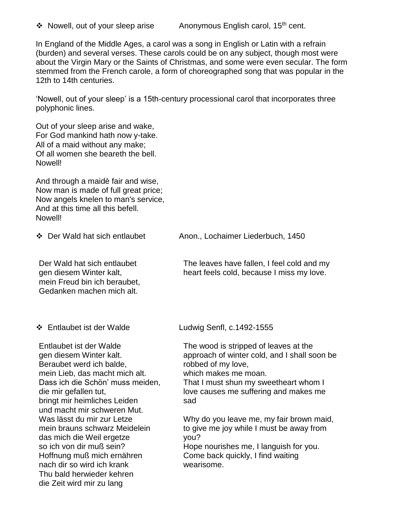$\cdot$  Nowell, out of your sleep arise Anonymous English carol, 15<sup>th</sup> cent.

In England of the Middle Ages, a carol was a song in English or Latin with a refrain (burden) and several verses. These carols could be on any subject, though most were about the Virgin Mary or the Saints of Christmas, and some were even secular. The form stemmed from the French carole, a form of choreographed song that was popular in the 12th to 14th centuries.

'Nowell, out of your sleep' is a 15th-century processional carol that incorporates three polyphonic lines.

Out of your sleep arise and wake, For God mankind hath now y-take. All of a maid without any make; Of all women she beareth the bell. Nowell!

And through a maidè fair and wise, Now man is made of full great price; Now angels knelen to man's service, And at this time all this befell. Nowell!

Der Wald hat sich entlaubet gen diesem Winter kalt, mein Freud bin ich beraubet, Gedanken machen mich alt.

Entlaubet ist der Walde gen diesem Winter kalt. Beraubet werd ich balde, mein Lieb, das macht mich alt. Dass ich die Schön' muss meiden, die mir gefallen tut, bringt mir heimliches Leiden und macht mir schweren Mut. Was lässt du mir zur Letze mein brauns schwarz Meidelein das mich die Weil ergetze so ich von dir muß sein? Hoffnung muß mich ernähren nach dir so wird ich krank Thu bald herwieder kehren die Zeit wird mir zu lang

Der Wald hat sich entlaubet Anon., Lochaimer Liederbuch, 1450

The leaves have fallen, I feel cold and my heart feels cold, because I miss my love.

Entlaubet ist der Walde Ludwig Senfl, c.1492-1555

The wood is stripped of leaves at the approach of winter cold, and I shall soon be robbed of my love,

which makes me moan.

That I must shun my sweetheart whom I love causes me suffering and makes me sad

Why do you leave me, my fair brown maid, to give me joy while I must be away from you? Hope nourishes me, I languish for you.

Come back quickly, I find waiting wearisome.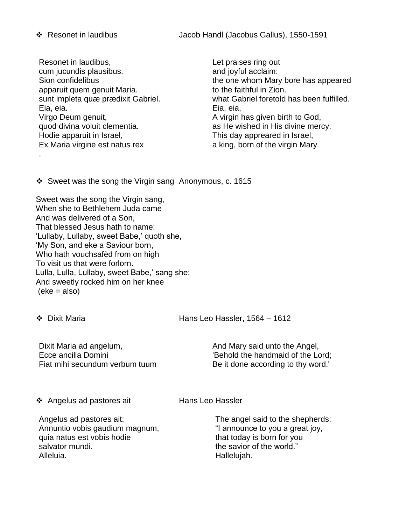Resonet in laudibus, cum jucundis plausibus. Sion confidelibus apparuit quem genuit Maria. sunt impleta quæ prædixit Gabriel. Eia, eia. Virgo Deum genuit, quod divina voluit clementia. Hodie apparuit in Israel, Ex Maria virgine est natus rex

Let praises ring out and joyful acclaim: the one whom Mary bore has appeared to the faithful in Zion. what Gabriel foretold has been fulfilled. Eia, eia, A virgin has given birth to God, as He wished in His divine mercy. This day appreared in Israel, a king, born of the virgin Mary

 $\cdot$  Sweet was the song the Virgin sang Anonymous, c. 1615

Sweet was the song the Virgin sang, When she to Bethlehem Juda came And was delivered of a Son, That blessed Jesus hath to name: 'Lullaby, Lullaby, sweet Babe,' quoth she, 'My Son, and eke a Saviour born, Who hath vouchsafèd from on high To visit us that were forlorn. Lulla, Lulla, Lullaby, sweet Babe,' sang she; And sweetly rocked him on her knee  $(eke = also)$ 

.

Dixit Maria Hans Leo Hassler, 1564 – 1612

Dixit Maria ad angelum, Ecce ancilla Domini Fiat mihi secundum verbum tuum

And Mary said unto the Angel, 'Behold the handmaid of the Lord; Be it done according to thy word.'

❖ Angelus ad pastores ait Hans Leo Hassler

Angelus ad pastores ait: Annuntio vobis gaudium magnum, quia natus est vobis hodie salvator mundi. Alleluia.

The angel said to the shepherds: "I announce to you a great joy, that today is born for you the savior of the world." Hallelujah.